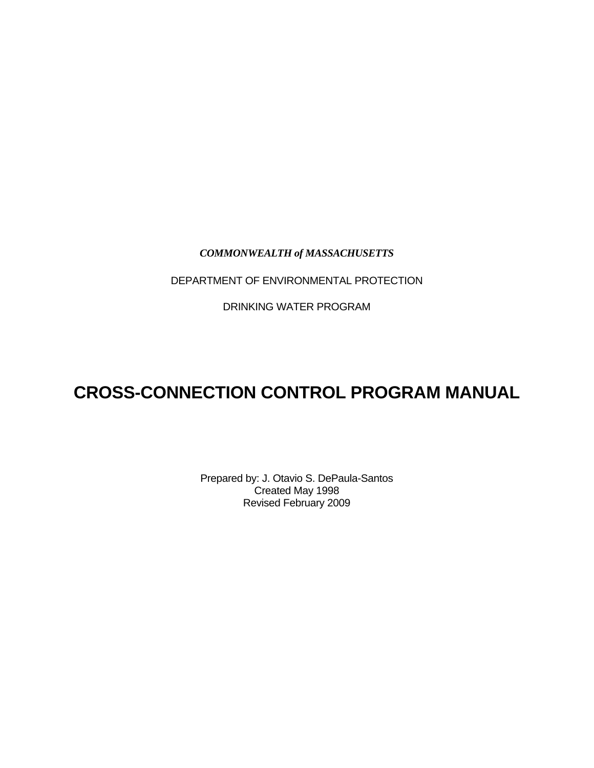## *COMMONWEALTH of MASSACHUSETTS*

DEPARTMENT OF ENVIRONMENTAL PROTECTION

DRINKING WATER PROGRAM

# **CROSS-CONNECTION CONTROL PROGRAM MANUAL**

Prepared by: J. Otavio S. DePaula-Santos Created May 1998 Revised February 2009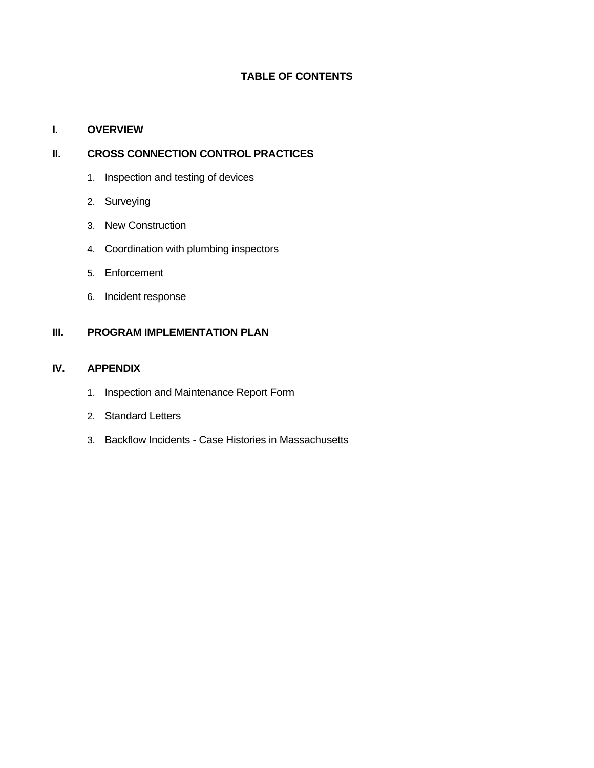# **TABLE OF CONTENTS**

## **I. OVERVIEW**

# **II. CROSS CONNECTION CONTROL PRACTICES**

- 1. Inspection and testing of devices
- 2. Surveying
- 3. New Construction
- 4. Coordination with plumbing inspectors
- 5. Enforcement
- 6. Incident response

# **III. PROGRAM IMPLEMENTATION PLAN**

#### **IV. APPENDIX**

- 1. Inspection and Maintenance Report Form
- 2. Standard Letters
- 3. Backflow Incidents Case Histories in Massachusetts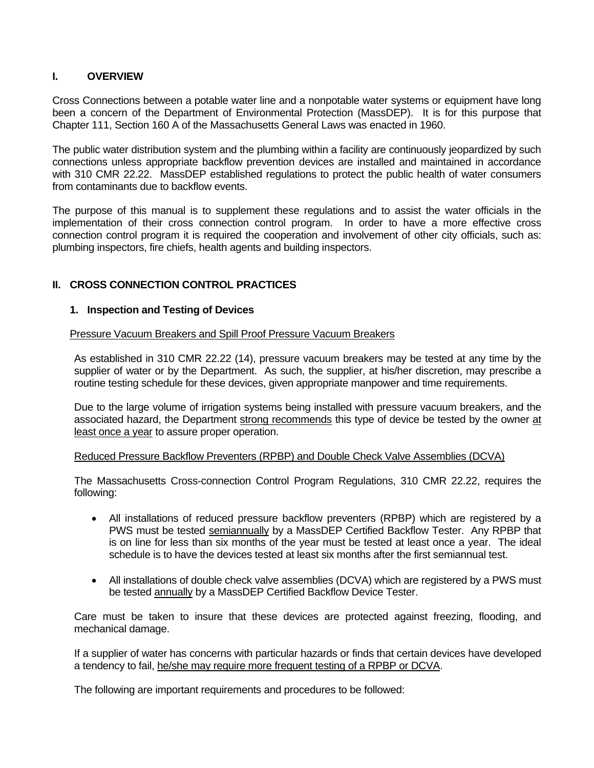## **I. OVERVIEW**

Cross Connections between a potable water line and a nonpotable water systems or equipment have long been a concern of the Department of Environmental Protection (MassDEP). It is for this purpose that Chapter 111, Section 160 A of the Massachusetts General Laws was enacted in 1960.

The public water distribution system and the plumbing within a facility are continuously jeopardized by such connections unless appropriate backflow prevention devices are installed and maintained in accordance with 310 CMR 22.22. MassDEP established regulations to protect the public health of water consumers from contaminants due to backflow events.

The purpose of this manual is to supplement these regulations and to assist the water officials in the implementation of their cross connection control program. In order to have a more effective cross connection control program it is required the cooperation and involvement of other city officials, such as: plumbing inspectors, fire chiefs, health agents and building inspectors.

# **II. CROSS CONNECTION CONTROL PRACTICES**

#### **1. Inspection and Testing of Devices**

Pressure Vacuum Breakers and Spill Proof Pressure Vacuum Breakers

As established in 310 CMR 22.22 (14), pressure vacuum breakers may be tested at any time by the supplier of water or by the Department. As such, the supplier, at his/her discretion, may prescribe a routine testing schedule for these devices, given appropriate manpower and time requirements.

Due to the large volume of irrigation systems being installed with pressure vacuum breakers, and the associated hazard, the Department strong recommends this type of device be tested by the owner at least once a year to assure proper operation.

#### Reduced Pressure Backflow Preventers (RPBP) and Double Check Valve Assemblies (DCVA)

The Massachusetts Cross-connection Control Program Regulations, 310 CMR 22.22, requires the following:

- All installations of reduced pressure backflow preventers (RPBP) which are registered by a PWS must be tested semiannually by a MassDEP Certified Backflow Tester. Any RPBP that is on line for less than six months of the year must be tested at least once a year. The ideal schedule is to have the devices tested at least six months after the first semiannual test.
- All installations of double check valve assemblies (DCVA) which are registered by a PWS must be tested annually by a MassDEP Certified Backflow Device Tester.

Care must be taken to insure that these devices are protected against freezing, flooding, and mechanical damage.

If a supplier of water has concerns with particular hazards or finds that certain devices have developed a tendency to fail, he/she may require more frequent testing of a RPBP or DCVA.

The following are important requirements and procedures to be followed: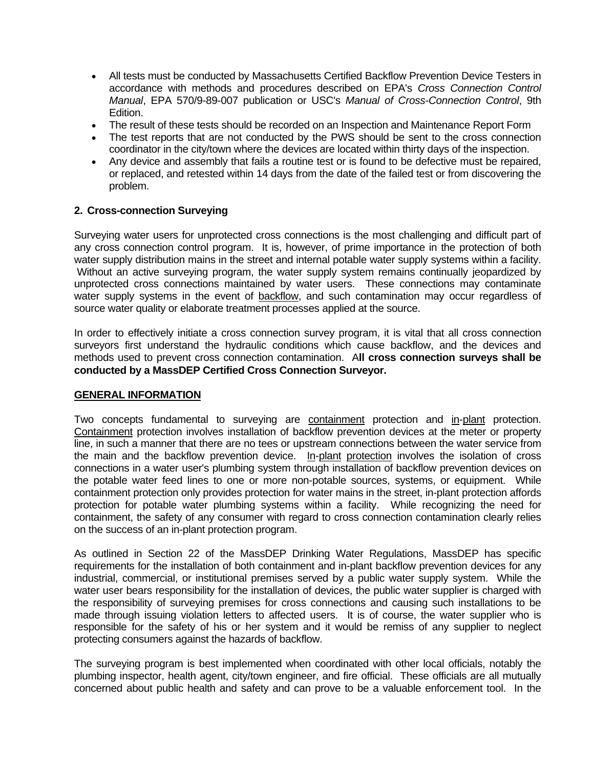- All tests must be conducted by Massachusetts Certified Backflow Prevention Device Testers in accordance with methods and procedures described on EPA's *Cross Connection Control Manual*, EPA 570/9-89-007 publication or USC's *Manual of Cross-Connection Control*, 9th Edition.
- The result of these tests should be recorded on an Inspection and Maintenance Report Form
- The test reports that are not conducted by the PWS should be sent to the cross connection coordinator in the city/town where the devices are located within thirty days of the inspection.
- Any device and assembly that fails a routine test or is found to be defective must be repaired, or replaced, and retested within 14 days from the date of the failed test or from discovering the problem.

#### **2. Cross-connection Surveying**

Surveying water users for unprotected cross connections is the most challenging and difficult part of any cross connection control program. It is, however, of prime importance in the protection of both water supply distribution mains in the street and internal potable water supply systems within a facility. Without an active surveying program, the water supply system remains continually jeopardized by unprotected cross connections maintained by water users. These connections may contaminate water supply systems in the event of backflow, and such contamination may occur regardless of source water quality or elaborate treatment processes applied at the source.

In order to effectively initiate a cross connection survey program, it is vital that all cross connection surveyors first understand the hydraulic conditions which cause backflow, and the devices and methods used to prevent cross connection contamination. A**ll cross connection surveys shall be conducted by a MassDEP Certified Cross Connection Surveyor.**

#### **GENERAL INFORMATION**

Two concepts fundamental to surveying are containment protection and in-plant protection. Containment protection involves installation of backflow prevention devices at the meter or property line, in such a manner that there are no tees or upstream connections between the water service from the main and the backflow prevention device. In-plant protection involves the isolation of cross connections in a water user's plumbing system through installation of backflow prevention devices on the potable water feed lines to one or more non-potable sources, systems, or equipment. While containment protection only provides protection for water mains in the street, in-plant protection affords protection for potable water plumbing systems within a facility. While recognizing the need for containment, the safety of any consumer with regard to cross connection contamination clearly relies on the success of an in-plant protection program.

As outlined in Section 22 of the MassDEP Drinking Water Regulations, MassDEP has specific requirements for the installation of both containment and in-plant backflow prevention devices for any industrial, commercial, or institutional premises served by a public water supply system. While the water user bears responsibility for the installation of devices, the public water supplier is charged with the responsibility of surveying premises for cross connections and causing such installations to be made through issuing violation letters to affected users. It is of course, the water supplier who is responsible for the safety of his or her system and it would be remiss of any supplier to neglect protecting consumers against the hazards of backflow.

The surveying program is best implemented when coordinated with other local officials, notably the plumbing inspector, health agent, city/town engineer, and fire official. These officials are all mutually concerned about public health and safety and can prove to be a valuable enforcement tool. In the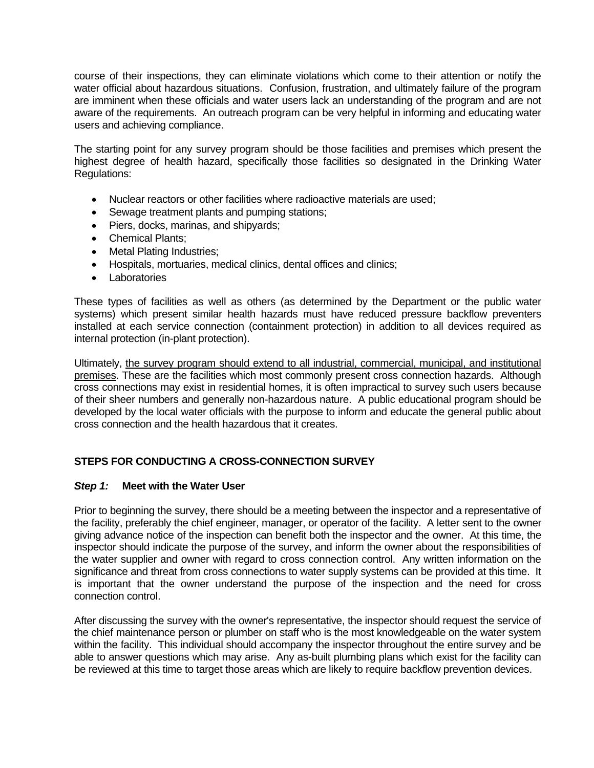course of their inspections, they can eliminate violations which come to their attention or notify the water official about hazardous situations. Confusion, frustration, and ultimately failure of the program are imminent when these officials and water users lack an understanding of the program and are not aware of the requirements. An outreach program can be very helpful in informing and educating water users and achieving compliance.

The starting point for any survey program should be those facilities and premises which present the highest degree of health hazard, specifically those facilities so designated in the Drinking Water Regulations:

- Nuclear reactors or other facilities where radioactive materials are used;
- Sewage treatment plants and pumping stations;
- Piers, docks, marinas, and shipvards;
- Chemical Plants:
- Metal Plating Industries;
- Hospitals, mortuaries, medical clinics, dental offices and clinics;
- Laboratories

These types of facilities as well as others (as determined by the Department or the public water systems) which present similar health hazards must have reduced pressure backflow preventers installed at each service connection (containment protection) in addition to all devices required as internal protection (in-plant protection).

Ultimately, the survey program should extend to all industrial, commercial, municipal, and institutional premises. These are the facilities which most commonly present cross connection hazards. Although cross connections may exist in residential homes, it is often impractical to survey such users because of their sheer numbers and generally non-hazardous nature. A public educational program should be developed by the local water officials with the purpose to inform and educate the general public about cross connection and the health hazardous that it creates.

# **STEPS FOR CONDUCTING A CROSS-CONNECTION SURVEY**

## *Step 1:* **Meet with the Water User**

Prior to beginning the survey, there should be a meeting between the inspector and a representative of the facility, preferably the chief engineer, manager, or operator of the facility. A letter sent to the owner giving advance notice of the inspection can benefit both the inspector and the owner. At this time, the inspector should indicate the purpose of the survey, and inform the owner about the responsibilities of the water supplier and owner with regard to cross connection control. Any written information on the significance and threat from cross connections to water supply systems can be provided at this time. It is important that the owner understand the purpose of the inspection and the need for cross connection control.

After discussing the survey with the owner's representative, the inspector should request the service of the chief maintenance person or plumber on staff who is the most knowledgeable on the water system within the facility. This individual should accompany the inspector throughout the entire survey and be able to answer questions which may arise. Any as-built plumbing plans which exist for the facility can be reviewed at this time to target those areas which are likely to require backflow prevention devices.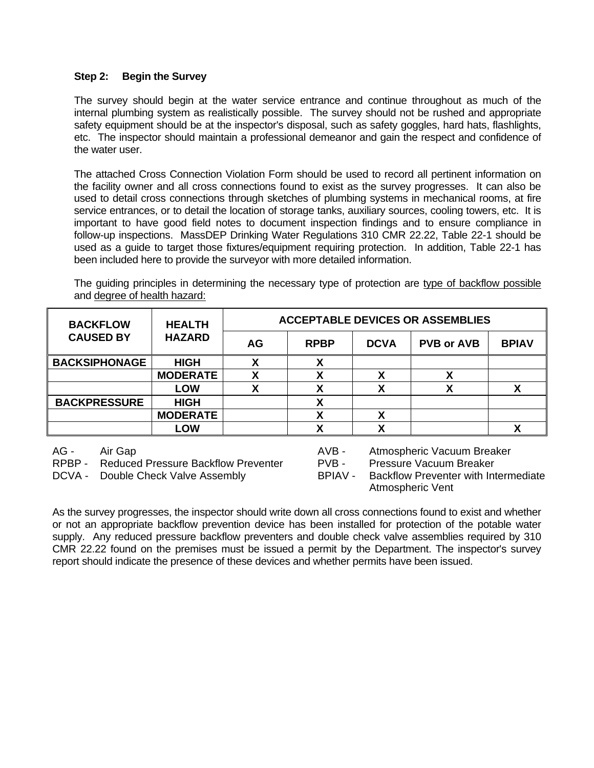#### **Step 2: Begin the Survey**

The survey should begin at the water service entrance and continue throughout as much of the internal plumbing system as realistically possible. The survey should not be rushed and appropriate safety equipment should be at the inspector's disposal, such as safety goggles, hard hats, flashlights, etc. The inspector should maintain a professional demeanor and gain the respect and confidence of the water user.

The attached Cross Connection Violation Form should be used to record all pertinent information on the facility owner and all cross connections found to exist as the survey progresses. It can also be used to detail cross connections through sketches of plumbing systems in mechanical rooms, at fire service entrances, or to detail the location of storage tanks, auxiliary sources, cooling towers, etc. It is important to have good field notes to document inspection findings and to ensure compliance in follow-up inspections. MassDEP Drinking Water Regulations 310 CMR 22.22, Table 22-1 should be used as a guide to target those fixtures/equipment requiring protection. In addition, Table 22-1 has been included here to provide the surveyor with more detailed information.

The guiding principles in determining the necessary type of protection are type of backflow possible and degree of health hazard:

| <b>BACKFLOW</b>      | <b>HEALTH</b><br><b>HAZARD</b> | <b>ACCEPTABLE DEVICES OR ASSEMBLIES</b> |             |             |                   |              |  |  |  |  |
|----------------------|--------------------------------|-----------------------------------------|-------------|-------------|-------------------|--------------|--|--|--|--|
| <b>CAUSED BY</b>     |                                | AG                                      | <b>RPBP</b> | <b>DCVA</b> | <b>PVB or AVB</b> | <b>BPIAV</b> |  |  |  |  |
| <b>BACKSIPHONAGE</b> | <b>HIGH</b>                    |                                         | Х           |             |                   |              |  |  |  |  |
|                      | <b>MODERATE</b>                |                                         | Х           | Χ           | Χ                 |              |  |  |  |  |
|                      | <b>LOW</b>                     |                                         |             |             |                   |              |  |  |  |  |
| <b>BACKPRESSURE</b>  | <b>HIGH</b>                    |                                         |             |             |                   |              |  |  |  |  |
|                      | <b>MODERATE</b>                |                                         |             |             |                   |              |  |  |  |  |
|                      | <b>LOW</b>                     |                                         |             |             |                   |              |  |  |  |  |

RPBP - Reduced Pressure Backflow Preventer - PVB - Pressure Vacuum Breaker

AG - Air Gap Ave - Atmospheric Vacuum Breaker

DCVA - Double Check Valve Assembly BPIAV - Backflow Preventer with Intermediate Atmospheric Vent

As the survey progresses, the inspector should write down all cross connections found to exist and whether or not an appropriate backflow prevention device has been installed for protection of the potable water supply. Any reduced pressure backflow preventers and double check valve assemblies required by 310 CMR 22.22 found on the premises must be issued a permit by the Department. The inspector's survey report should indicate the presence of these devices and whether permits have been issued.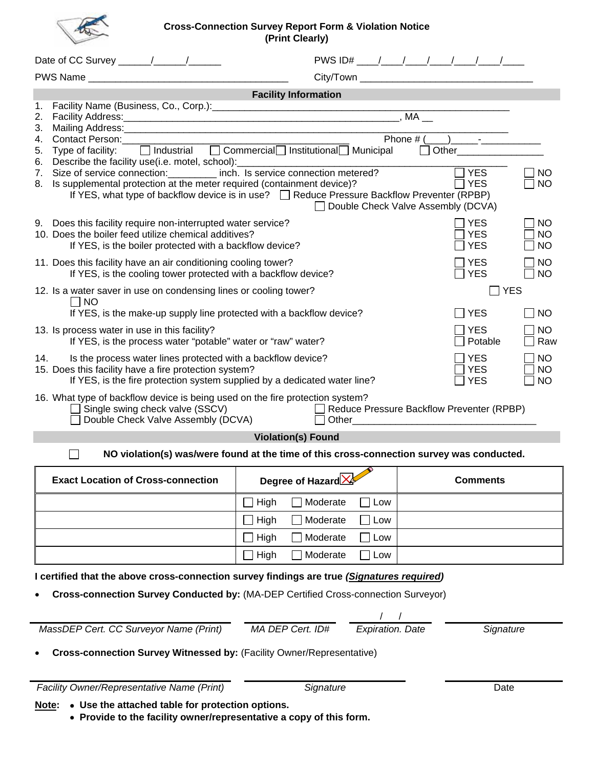#### **Cross-Connection Survey Report Form & Violation Notice (Print Clearly)**

|                                                                                                                                                                                                                                                                                                                                                                                  |                                                                                                                                                        | <b>Facility Information</b> |           |                         |  |                                                                                                                                                             |                        |  |  |  |  |
|----------------------------------------------------------------------------------------------------------------------------------------------------------------------------------------------------------------------------------------------------------------------------------------------------------------------------------------------------------------------------------|--------------------------------------------------------------------------------------------------------------------------------------------------------|-----------------------------|-----------|-------------------------|--|-------------------------------------------------------------------------------------------------------------------------------------------------------------|------------------------|--|--|--|--|
| Facility Name (Business, Co., Corp.): [2006] Cacility Name (Business, Co., Corp.)<br>1.<br>2.<br>3 <sub>1</sub><br>Phone $\#$ ( ) -<br>Contact Person: __________________<br>4.                                                                                                                                                                                                  |                                                                                                                                                        |                             |           |                         |  |                                                                                                                                                             |                        |  |  |  |  |
| □ Industrial □ Commercial Institutional Municipal<br>Other<br>5.<br>Type of facility:<br>Describe the facility use(i.e. motel, school):<br>6.<br><u> 2000 - Jan James James James James James James James James James James James James James James James James Ja</u>                                                                                                           |                                                                                                                                                        |                             |           |                         |  |                                                                                                                                                             |                        |  |  |  |  |
| Size of service connection: ________ inch. Is service connection metered?<br>$\neg$ YES<br>7.<br>NO<br><b>YES</b><br>Is supplemental protection at the meter required (containment device)?<br><b>NO</b><br>8.<br>If YES, what type of backflow device is in use?<br><u> </u> <b>Exercise Pressure Backflow Preventer (RPBP)</b><br>Double Check Valve Assembly (DCVA)<br>$\Box$ |                                                                                                                                                        |                             |           |                         |  |                                                                                                                                                             |                        |  |  |  |  |
| 9. Does this facility require non-interrupted water service?<br><b>YES</b><br>10. Does the boiler feed utilize chemical additives?<br><b>YES</b><br><b>YES</b><br>If YES, is the boiler protected with a backflow device?                                                                                                                                                        |                                                                                                                                                        |                             |           |                         |  |                                                                                                                                                             |                        |  |  |  |  |
|                                                                                                                                                                                                                                                                                                                                                                                  | 11. Does this facility have an air conditioning cooling tower?<br>If YES, is the cooling tower protected with a backflow device?                       |                             |           |                         |  | <b>YES</b><br><b>YES</b>                                                                                                                                    | <b>NO</b><br><b>NO</b> |  |  |  |  |
| <b>YES</b><br>12. Is a water saver in use on condensing lines or cooling tower?<br>$\overline{\phantom{a}}$<br> NO                                                                                                                                                                                                                                                               |                                                                                                                                                        |                             |           |                         |  |                                                                                                                                                             |                        |  |  |  |  |
| If YES, is the make-up supply line protected with a backflow device?<br><b>YES</b><br><b>YES</b><br>13. Is process water in use in this facility?                                                                                                                                                                                                                                |                                                                                                                                                        |                             |           |                         |  |                                                                                                                                                             |                        |  |  |  |  |
| If YES, is the process water "potable" water or "raw" water?<br>Potable<br><b>YES</b><br>Is the process water lines protected with a backflow device?<br>14.<br>15. Does this facility have a fire protection system?<br><b>YES</b><br><b>YES</b><br>If YES, is the fire protection system supplied by a dedicated water line?                                                   |                                                                                                                                                        |                             |           |                         |  |                                                                                                                                                             |                        |  |  |  |  |
|                                                                                                                                                                                                                                                                                                                                                                                  | 16. What type of backflow device is being used on the fire protection system?<br>Single swing check valve (SSCV)<br>Double Check Valve Assembly (DCVA) |                             |           |                         |  | Reduce Pressure Backflow Preventer (RPBP)<br>Other than the contract of the contract of the contract of the contract of the contract of the contract of the | <b>NO</b>              |  |  |  |  |
|                                                                                                                                                                                                                                                                                                                                                                                  |                                                                                                                                                        | <b>Violation(s) Found</b>   |           |                         |  |                                                                                                                                                             |                        |  |  |  |  |
|                                                                                                                                                                                                                                                                                                                                                                                  | NO violation(s) was/were found at the time of this cross-connection survey was conducted.<br>$\blacksquare$                                            |                             |           |                         |  |                                                                                                                                                             |                        |  |  |  |  |
|                                                                                                                                                                                                                                                                                                                                                                                  | <b>Exact Location of Cross-connection</b>                                                                                                              | Degree of Hazard            |           |                         |  | <b>Comments</b>                                                                                                                                             |                        |  |  |  |  |
|                                                                                                                                                                                                                                                                                                                                                                                  |                                                                                                                                                        | High                        | Moderate  | Low                     |  |                                                                                                                                                             |                        |  |  |  |  |
|                                                                                                                                                                                                                                                                                                                                                                                  |                                                                                                                                                        | High                        | Moderate  | Low                     |  |                                                                                                                                                             |                        |  |  |  |  |
|                                                                                                                                                                                                                                                                                                                                                                                  |                                                                                                                                                        | High                        | Moderate  | Low                     |  |                                                                                                                                                             |                        |  |  |  |  |
| High<br>Moderate<br>Low                                                                                                                                                                                                                                                                                                                                                          |                                                                                                                                                        |                             |           |                         |  |                                                                                                                                                             |                        |  |  |  |  |
|                                                                                                                                                                                                                                                                                                                                                                                  | I certified that the above cross-connection survey findings are true (Signatures required)                                                             |                             |           |                         |  |                                                                                                                                                             |                        |  |  |  |  |
|                                                                                                                                                                                                                                                                                                                                                                                  | Cross-connection Survey Conducted by: (MA-DEP Certified Cross-connection Surveyor)                                                                     |                             |           |                         |  |                                                                                                                                                             |                        |  |  |  |  |
|                                                                                                                                                                                                                                                                                                                                                                                  |                                                                                                                                                        |                             |           |                         |  |                                                                                                                                                             |                        |  |  |  |  |
|                                                                                                                                                                                                                                                                                                                                                                                  | MassDEP Cert. CC Surveyor Name (Print)                                                                                                                 | MA DEP Cert. ID#            |           | <b>Expiration. Date</b> |  | Signature                                                                                                                                                   |                        |  |  |  |  |
|                                                                                                                                                                                                                                                                                                                                                                                  | <b>Cross-connection Survey Witnessed by: (Facility Owner/Representative)</b>                                                                           |                             |           |                         |  |                                                                                                                                                             |                        |  |  |  |  |
|                                                                                                                                                                                                                                                                                                                                                                                  | Facility Owner/Representative Name (Print)                                                                                                             |                             | Signature |                         |  | Date                                                                                                                                                        |                        |  |  |  |  |

**Note:** • **Use the attached table for protection options.**

L

j,

• **Provide to the facility owner/representative a copy of this form.**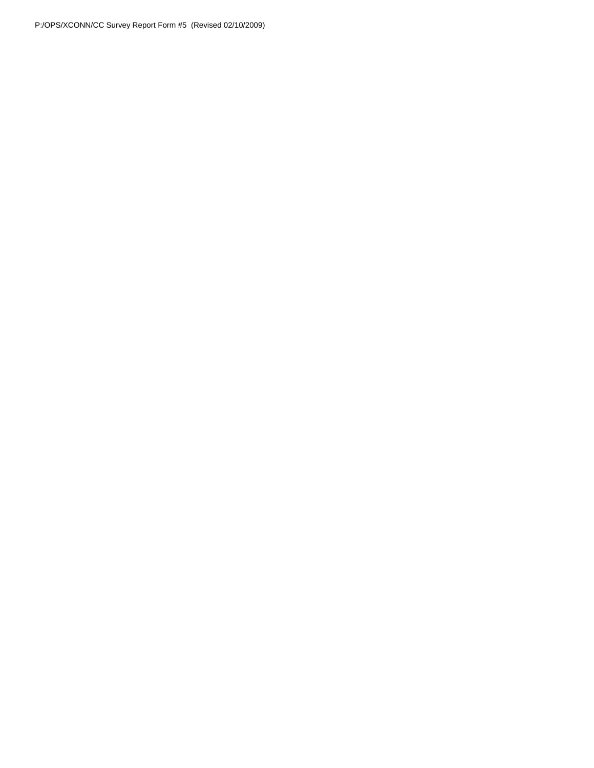P:/OPS/XCONN/CC Survey Report Form #5 (Revised 02/10/2009)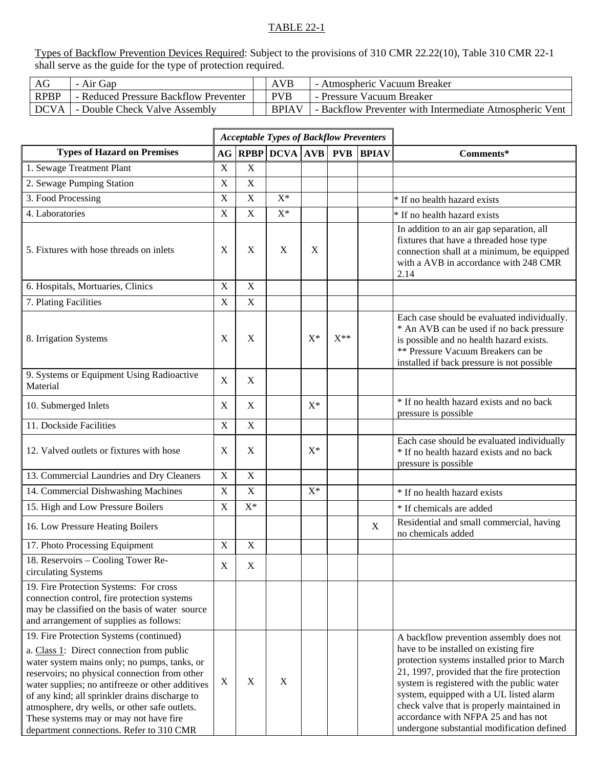# TABLE 22-1

Types of Backflow Prevention Devices Required: Subject to the provisions of 310 CMR 22.22(10), Table 310 CMR 22-1 shall serve as the guide for the type of protection required.

| AG   | - Air Gap                             | <b>AVB</b>   | - Atmospheric Vacuum Breaker                            |
|------|---------------------------------------|--------------|---------------------------------------------------------|
| RPBP | - Reduced Pressure Backflow Preventer | <b>PVB</b>   | - Pressure Vacuum Breaker                               |
| DCVA | - Double Check Valve Assembly         | <b>BPIAV</b> | - Backflow Preventer with Intermediate Atmospheric Vent |

|                                                                                                                                                                                                                                                                                                                                                                                                                                    |                           |             | <b>Acceptable Types of Backflow Preventers</b> |       |          |              |                                                                                                                                                                                                                                                                                                                                                                                                            |
|------------------------------------------------------------------------------------------------------------------------------------------------------------------------------------------------------------------------------------------------------------------------------------------------------------------------------------------------------------------------------------------------------------------------------------|---------------------------|-------------|------------------------------------------------|-------|----------|--------------|------------------------------------------------------------------------------------------------------------------------------------------------------------------------------------------------------------------------------------------------------------------------------------------------------------------------------------------------------------------------------------------------------------|
| <b>Types of Hazard on Premises</b>                                                                                                                                                                                                                                                                                                                                                                                                 |                           |             | <b>AG RPBP DCVA AVB PVB</b>                    |       |          | <b>BPIAV</b> | Comments*                                                                                                                                                                                                                                                                                                                                                                                                  |
| 1. Sewage Treatment Plant                                                                                                                                                                                                                                                                                                                                                                                                          | $\mathbf X$               | $\mathbf X$ |                                                |       |          |              |                                                                                                                                                                                                                                                                                                                                                                                                            |
| 2. Sewage Pumping Station                                                                                                                                                                                                                                                                                                                                                                                                          | $\boldsymbol{\mathrm{X}}$ | $\mathbf X$ |                                                |       |          |              |                                                                                                                                                                                                                                                                                                                                                                                                            |
| 3. Food Processing                                                                                                                                                                                                                                                                                                                                                                                                                 | $\boldsymbol{\mathrm{X}}$ | $\mathbf X$ | $X^*$                                          |       |          |              | * If no health hazard exists                                                                                                                                                                                                                                                                                                                                                                               |
| 4. Laboratories                                                                                                                                                                                                                                                                                                                                                                                                                    | $\mathbf X$               | X           | $X^*$                                          |       |          |              | * If no health hazard exists                                                                                                                                                                                                                                                                                                                                                                               |
| 5. Fixtures with hose threads on inlets                                                                                                                                                                                                                                                                                                                                                                                            | X                         | X           | X                                              | X     |          |              | In addition to an air gap separation, all<br>fixtures that have a threaded hose type<br>connection shall at a minimum, be equipped<br>with a AVB in accordance with 248 CMR<br>2.14                                                                                                                                                                                                                        |
| 6. Hospitals, Mortuaries, Clinics                                                                                                                                                                                                                                                                                                                                                                                                  | $\mathbf X$               | $\mathbf X$ |                                                |       |          |              |                                                                                                                                                                                                                                                                                                                                                                                                            |
| 7. Plating Facilities                                                                                                                                                                                                                                                                                                                                                                                                              | $\mathbf X$               | $\mathbf X$ |                                                |       |          |              |                                                                                                                                                                                                                                                                                                                                                                                                            |
| 8. Irrigation Systems                                                                                                                                                                                                                                                                                                                                                                                                              | X                         | X           |                                                | $X^*$ | $X^{**}$ |              | Each case should be evaluated individually.<br>* An AVB can be used if no back pressure<br>is possible and no health hazard exists.<br>** Pressure Vacuum Breakers can be<br>installed if back pressure is not possible                                                                                                                                                                                    |
| 9. Systems or Equipment Using Radioactive<br>Material                                                                                                                                                                                                                                                                                                                                                                              | $\mathbf X$               | $\mathbf X$ |                                                |       |          |              |                                                                                                                                                                                                                                                                                                                                                                                                            |
| 10. Submerged Inlets                                                                                                                                                                                                                                                                                                                                                                                                               | X                         | X           |                                                | $X^*$ |          |              | * If no health hazard exists and no back<br>pressure is possible                                                                                                                                                                                                                                                                                                                                           |
| 11. Dockside Facilities                                                                                                                                                                                                                                                                                                                                                                                                            | $\boldsymbol{\mathrm{X}}$ | $\mathbf X$ |                                                |       |          |              |                                                                                                                                                                                                                                                                                                                                                                                                            |
| 12. Valved outlets or fixtures with hose                                                                                                                                                                                                                                                                                                                                                                                           | X                         | X           |                                                | $X^*$ |          |              | Each case should be evaluated individually<br>* If no health hazard exists and no back<br>pressure is possible                                                                                                                                                                                                                                                                                             |
| 13. Commercial Laundries and Dry Cleaners                                                                                                                                                                                                                                                                                                                                                                                          | X                         | $\mathbf X$ |                                                |       |          |              |                                                                                                                                                                                                                                                                                                                                                                                                            |
| 14. Commercial Dishwashing Machines                                                                                                                                                                                                                                                                                                                                                                                                | X                         | X           |                                                | $X^*$ |          |              | * If no health hazard exists                                                                                                                                                                                                                                                                                                                                                                               |
| 15. High and Low Pressure Boilers                                                                                                                                                                                                                                                                                                                                                                                                  | $\mathbf X$               | $X^*$       |                                                |       |          |              | * If chemicals are added                                                                                                                                                                                                                                                                                                                                                                                   |
| 16. Low Pressure Heating Boilers                                                                                                                                                                                                                                                                                                                                                                                                   |                           |             |                                                |       |          | $\mathbf X$  | Residential and small commercial, having<br>no chemicals added                                                                                                                                                                                                                                                                                                                                             |
| 17. Photo Processing Equipment                                                                                                                                                                                                                                                                                                                                                                                                     | $\mathbf X$               | $\mathbf X$ |                                                |       |          |              |                                                                                                                                                                                                                                                                                                                                                                                                            |
| $\overline{18}$ . Reservoirs – Cooling Tower Re-<br>circulating Systems                                                                                                                                                                                                                                                                                                                                                            | $\mathbf X$               | $\mathbf X$ |                                                |       |          |              |                                                                                                                                                                                                                                                                                                                                                                                                            |
| 19. Fire Protection Systems: For cross<br>connection control, fire protection systems<br>may be classified on the basis of water source<br>and arrangement of supplies as follows:                                                                                                                                                                                                                                                 |                           |             |                                                |       |          |              |                                                                                                                                                                                                                                                                                                                                                                                                            |
| 19. Fire Protection Systems (continued)<br>a. Class 1: Direct connection from public<br>water system mains only; no pumps, tanks, or<br>reservoirs; no physical connection from other<br>water supplies; no antifreeze or other additives<br>of any kind; all sprinkler drains discharge to<br>atmosphere, dry wells, or other safe outlets.<br>These systems may or may not have fire<br>department connections. Refer to 310 CMR | X                         | X           | X                                              |       |          |              | A backflow prevention assembly does not<br>have to be installed on existing fire<br>protection systems installed prior to March<br>21, 1997, provided that the fire protection<br>system is registered with the public water<br>system, equipped with a UL listed alarm<br>check valve that is properly maintained in<br>accordance with NFPA 25 and has not<br>undergone substantial modification defined |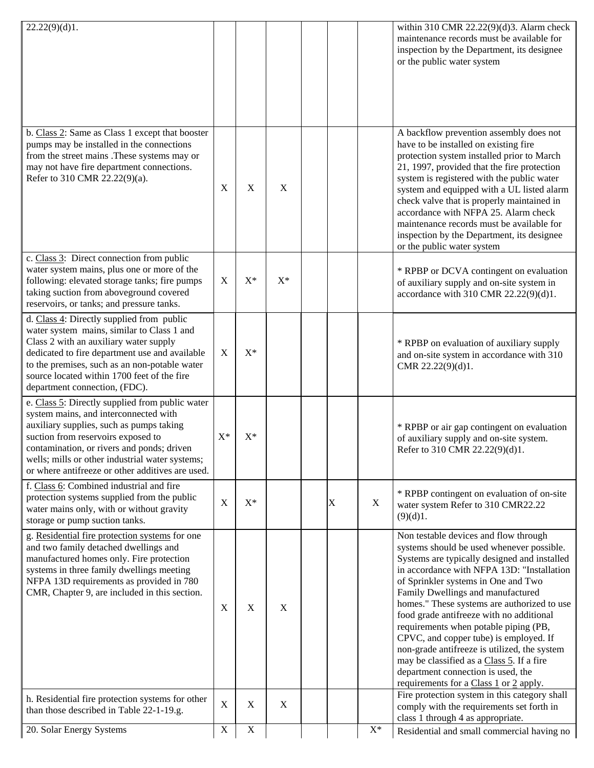| 22.22(9)(d)1.                                                                                                                                                                                                                                                                                                                   |                |                           |             |   |                | within 310 CMR 22.22(9)(d)3. Alarm check<br>maintenance records must be available for<br>inspection by the Department, its designee<br>or the public water system                                                                                                                                                                                                                                                                                                                                                                                                                                                       |
|---------------------------------------------------------------------------------------------------------------------------------------------------------------------------------------------------------------------------------------------------------------------------------------------------------------------------------|----------------|---------------------------|-------------|---|----------------|-------------------------------------------------------------------------------------------------------------------------------------------------------------------------------------------------------------------------------------------------------------------------------------------------------------------------------------------------------------------------------------------------------------------------------------------------------------------------------------------------------------------------------------------------------------------------------------------------------------------------|
| b. Class 2: Same as Class 1 except that booster<br>pumps may be installed in the connections<br>from the street mains .These systems may or<br>may not have fire department connections.<br>Refer to 310 CMR 22.22(9)(a).                                                                                                       | X              | X                         | $\mathbf X$ |   |                | A backflow prevention assembly does not<br>have to be installed on existing fire<br>protection system installed prior to March<br>21, 1997, provided that the fire protection<br>system is registered with the public water<br>system and equipped with a UL listed alarm<br>check valve that is properly maintained in<br>accordance with NFPA 25. Alarm check<br>maintenance records must be available for<br>inspection by the Department, its designee<br>or the public water system                                                                                                                                |
| c. Class 3: Direct connection from public<br>water system mains, plus one or more of the<br>following: elevated storage tanks; fire pumps<br>taking suction from aboveground covered<br>reservoirs, or tanks; and pressure tanks.                                                                                               | X              | $X^*$                     | $X^*$       |   |                | * RPBP or DCVA contingent on evaluation<br>of auxiliary supply and on-site system in<br>accordance with 310 CMR 22.22(9)(d)1.                                                                                                                                                                                                                                                                                                                                                                                                                                                                                           |
| d. Class 4: Directly supplied from public<br>water system mains, similar to Class 1 and<br>Class 2 with an auxiliary water supply<br>dedicated to fire department use and available<br>to the premises, such as an non-potable water<br>source located within 1700 feet of the fire<br>department connection, (FDC).            | $\mathbf X$    | $X^*$                     |             |   |                | * RPBP on evaluation of auxiliary supply<br>and on-site system in accordance with 310<br>CMR 22.22(9)(d)1.                                                                                                                                                                                                                                                                                                                                                                                                                                                                                                              |
| e. Class 5: Directly supplied from public water<br>system mains, and interconnected with<br>auxiliary supplies, such as pumps taking<br>suction from reservoirs exposed to<br>contamination, or rivers and ponds; driven<br>wells; mills or other industrial water systems;<br>or where antifreeze or other additives are used. | $\mathbf{X}^*$ | $X^*$                     |             |   |                | * RPBP or air gap contingent on evaluation<br>of auxiliary supply and on-site system.<br>Refer to 310 CMR 22.22(9)(d)1.                                                                                                                                                                                                                                                                                                                                                                                                                                                                                                 |
| f. Class 6: Combined industrial and fire<br>protection systems supplied from the public<br>water mains only, with or without gravity<br>storage or pump suction tanks.                                                                                                                                                          | $\mathbf X$    | $X^*$                     |             | X | $\mathbf X$    | * RPBP contingent on evaluation of on-site<br>water system Refer to 310 CMR22.22<br>(9)(d)1.                                                                                                                                                                                                                                                                                                                                                                                                                                                                                                                            |
| g. Residential fire protection systems for one<br>and two family detached dwellings and<br>manufactured homes only. Fire protection<br>systems in three family dwellings meeting<br>NFPA 13D requirements as provided in 780<br>CMR, Chapter 9, are included in this section.                                                   | $\mathbf X$    | X                         | $\mathbf X$ |   |                | Non testable devices and flow through<br>systems should be used whenever possible.<br>Systems are typically designed and installed<br>in accordance with NFPA 13D: "Installation<br>of Sprinkler systems in One and Two<br>Family Dwellings and manufactured<br>homes." These systems are authorized to use<br>food grade antifreeze with no additional<br>requirements when potable piping (PB,<br>CPVC, and copper tube) is employed. If<br>non-grade antifreeze is utilized, the system<br>may be classified as a Class 5. If a fire<br>department connection is used, the<br>requirements for a Class 1 or 2 apply. |
| h. Residential fire protection systems for other<br>than those described in Table 22-1-19.g.                                                                                                                                                                                                                                    | $\mathbf X$    | $\boldsymbol{\mathrm{X}}$ | $\mathbf X$ |   |                | Fire protection system in this category shall<br>comply with the requirements set forth in<br>class 1 through 4 as appropriate.                                                                                                                                                                                                                                                                                                                                                                                                                                                                                         |
| 20. Solar Energy Systems                                                                                                                                                                                                                                                                                                        | $\mathbf X$    | $\mathbf X$               |             |   | $\mathbf{X}^*$ | Residential and small commercial having no                                                                                                                                                                                                                                                                                                                                                                                                                                                                                                                                                                              |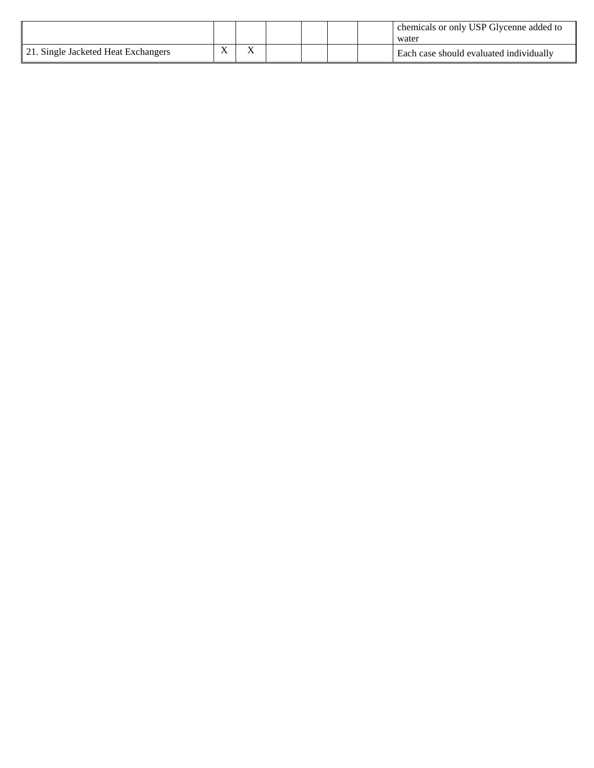|                                     |     |  |  | chemicals or only USP Glycenne added to<br>water |
|-------------------------------------|-----|--|--|--------------------------------------------------|
| 21. Single Jacketed Heat Exchangers | v v |  |  | Each case should evaluated individually          |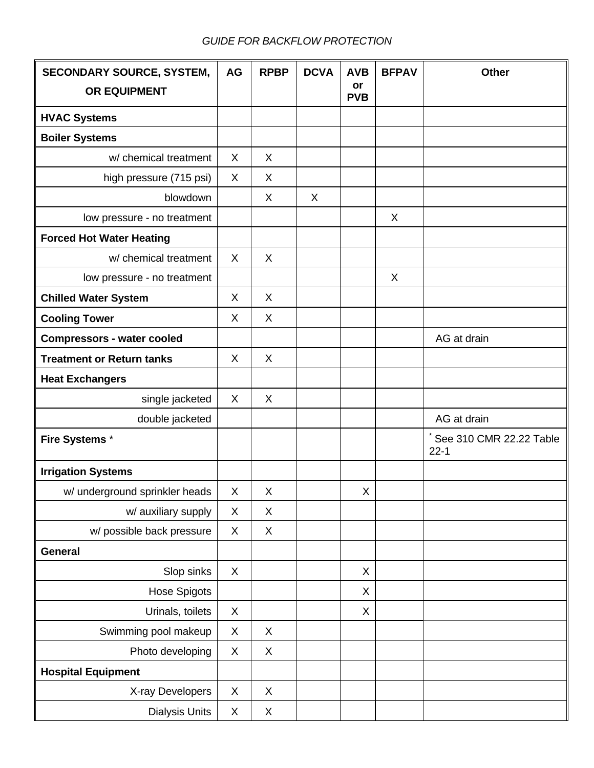# *GUIDE FOR BACKFLOW PROTECTION*

| <b>SECONDARY SOURCE, SYSTEM,</b>  | AG | <b>RPBP</b> | <b>DCVA</b> | <b>AVB</b><br>or | <b>BFPAV</b> | <b>Other</b>                        |
|-----------------------------------|----|-------------|-------------|------------------|--------------|-------------------------------------|
| <b>OR EQUIPMENT</b>               |    |             |             | <b>PVB</b>       |              |                                     |
| <b>HVAC Systems</b>               |    |             |             |                  |              |                                     |
| <b>Boiler Systems</b>             |    |             |             |                  |              |                                     |
| w/ chemical treatment             | X  | X           |             |                  |              |                                     |
| high pressure (715 psi)           | X  | X           |             |                  |              |                                     |
| blowdown                          |    | X           | X           |                  |              |                                     |
| low pressure - no treatment       |    |             |             |                  | X            |                                     |
| <b>Forced Hot Water Heating</b>   |    |             |             |                  |              |                                     |
| w/ chemical treatment             | X  | X           |             |                  |              |                                     |
| low pressure - no treatment       |    |             |             |                  | X            |                                     |
| <b>Chilled Water System</b>       | X  | X           |             |                  |              |                                     |
| <b>Cooling Tower</b>              | X  | X           |             |                  |              |                                     |
| <b>Compressors - water cooled</b> |    |             |             |                  |              | AG at drain                         |
| <b>Treatment or Return tanks</b>  | X  | X           |             |                  |              |                                     |
| <b>Heat Exchangers</b>            |    |             |             |                  |              |                                     |
| single jacketed                   | X  | X           |             |                  |              |                                     |
| double jacketed                   |    |             |             |                  |              | AG at drain                         |
| Fire Systems *                    |    |             |             |                  |              | See 310 CMR 22.22 Table<br>$22 - 1$ |
| <b>Irrigation Systems</b>         |    |             |             |                  |              |                                     |
| w/ underground sprinkler heads    | X  | X           |             | X                |              |                                     |
| w/ auxiliary supply               | X  | X           |             |                  |              |                                     |
| w/ possible back pressure         | Χ  | X           |             |                  |              |                                     |
| General                           |    |             |             |                  |              |                                     |
| Slop sinks                        | X  |             |             | X                |              |                                     |
| Hose Spigots                      |    |             |             | X                |              |                                     |
| Urinals, toilets                  | X  |             |             | X                |              |                                     |
| Swimming pool makeup              | X  | X           |             |                  |              |                                     |
| Photo developing                  | X  | X           |             |                  |              |                                     |
| <b>Hospital Equipment</b>         |    |             |             |                  |              |                                     |
| X-ray Developers                  | X  | $\mathsf X$ |             |                  |              |                                     |
| <b>Dialysis Units</b>             | X  | $\mathsf X$ |             |                  |              |                                     |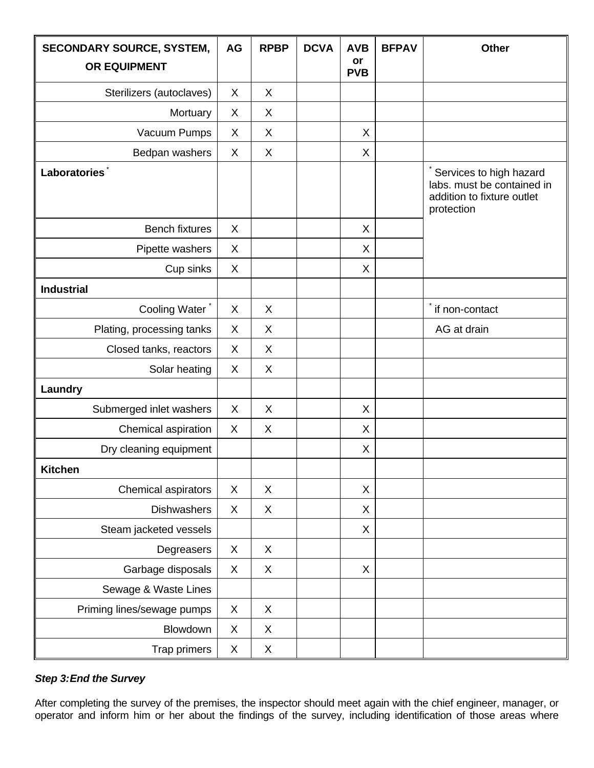| <b>SECONDARY SOURCE, SYSTEM,</b> | <b>AG</b> | <b>RPBP</b> | <b>DCVA</b> | <b>AVB</b>       | <b>BFPAV</b> | <b>Other</b>                                                                                      |
|----------------------------------|-----------|-------------|-------------|------------------|--------------|---------------------------------------------------------------------------------------------------|
| <b>OR EQUIPMENT</b>              |           |             |             | or<br><b>PVB</b> |              |                                                                                                   |
| Sterilizers (autoclaves)         | X         | X           |             |                  |              |                                                                                                   |
| Mortuary                         | X         | X           |             |                  |              |                                                                                                   |
| Vacuum Pumps                     | X         | $\mathsf X$ |             | $\sf X$          |              |                                                                                                   |
| Bedpan washers                   | X         | X           |             | X                |              |                                                                                                   |
| <b>Laboratories</b>              |           |             |             |                  |              | Services to high hazard<br>labs. must be contained in<br>addition to fixture outlet<br>protection |
| <b>Bench fixtures</b>            | X         |             |             | X                |              |                                                                                                   |
| Pipette washers                  | X         |             |             | $\sf X$          |              |                                                                                                   |
| Cup sinks                        | X         |             |             | X                |              |                                                                                                   |
| <b>Industrial</b>                |           |             |             |                  |              |                                                                                                   |
| Cooling Water <sup>*</sup>       | X         | X           |             |                  |              | if non-contact                                                                                    |
| Plating, processing tanks        | X         | X           |             |                  |              | AG at drain                                                                                       |
| Closed tanks, reactors           | X         | X           |             |                  |              |                                                                                                   |
| Solar heating                    | X         | X           |             |                  |              |                                                                                                   |
| Laundry                          |           |             |             |                  |              |                                                                                                   |
| Submerged inlet washers          | X         | X           |             | X                |              |                                                                                                   |
| Chemical aspiration              | X         | X           |             | X                |              |                                                                                                   |
| Dry cleaning equipment           |           |             |             | X                |              |                                                                                                   |
| Kitchen                          |           |             |             |                  |              |                                                                                                   |
| Chemical aspirators              | X         | X           |             | X                |              |                                                                                                   |
| <b>Dishwashers</b>               | X         | X           |             | X                |              |                                                                                                   |
| Steam jacketed vessels           |           |             |             | X                |              |                                                                                                   |
| Degreasers                       | X         | X           |             |                  |              |                                                                                                   |
| Garbage disposals                | X         | X           |             | $\sf X$          |              |                                                                                                   |
| Sewage & Waste Lines             |           |             |             |                  |              |                                                                                                   |
| Priming lines/sewage pumps       | X         | X           |             |                  |              |                                                                                                   |
| Blowdown                         | X         | X           |             |                  |              |                                                                                                   |
| Trap primers                     | X         | X           |             |                  |              |                                                                                                   |

# *Step 3: End the Survey*

After completing the survey of the premises, the inspector should meet again with the chief engineer, manager, or operator and inform him or her about the findings of the survey, including identification of those areas where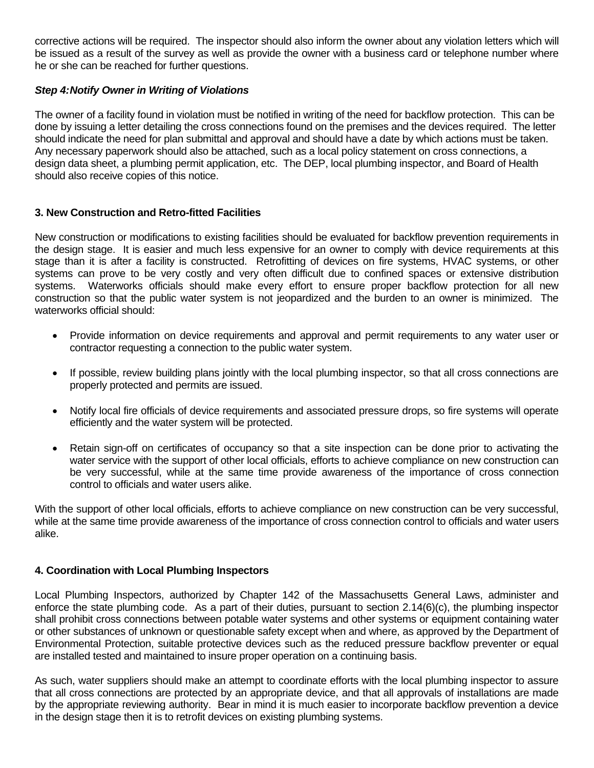corrective actions will be required. The inspector should also inform the owner about any violation letters which will be issued as a result of the survey as well as provide the owner with a business card or telephone number where he or she can be reached for further questions.

# *Step 4: Notify Owner in Writing of Violations*

The owner of a facility found in violation must be notified in writing of the need for backflow protection. This can be done by issuing a letter detailing the cross connections found on the premises and the devices required. The letter should indicate the need for plan submittal and approval and should have a date by which actions must be taken. Any necessary paperwork should also be attached, such as a local policy statement on cross connections, a design data sheet, a plumbing permit application, etc. The DEP, local plumbing inspector, and Board of Health should also receive copies of this notice.

## **3. New Construction and Retro-fitted Facilities**

New construction or modifications to existing facilities should be evaluated for backflow prevention requirements in the design stage. It is easier and much less expensive for an owner to comply with device requirements at this stage than it is after a facility is constructed. Retrofitting of devices on fire systems, HVAC systems, or other systems can prove to be very costly and very often difficult due to confined spaces or extensive distribution systems. Waterworks officials should make every effort to ensure proper backflow protection for all new construction so that the public water system is not jeopardized and the burden to an owner is minimized. The waterworks official should:

- Provide information on device requirements and approval and permit requirements to any water user or contractor requesting a connection to the public water system.
- If possible, review building plans jointly with the local plumbing inspector, so that all cross connections are properly protected and permits are issued.
- Notify local fire officials of device requirements and associated pressure drops, so fire systems will operate efficiently and the water system will be protected.
- Retain sign-off on certificates of occupancy so that a site inspection can be done prior to activating the water service with the support of other local officials, efforts to achieve compliance on new construction can be very successful, while at the same time provide awareness of the importance of cross connection control to officials and water users alike.

With the support of other local officials, efforts to achieve compliance on new construction can be very successful, while at the same time provide awareness of the importance of cross connection control to officials and water users alike.

## **4. Coordination with Local Plumbing Inspectors**

Local Plumbing Inspectors, authorized by Chapter 142 of the Massachusetts General Laws, administer and enforce the state plumbing code. As a part of their duties, pursuant to section 2.14(6)(c), the plumbing inspector shall prohibit cross connections between potable water systems and other systems or equipment containing water or other substances of unknown or questionable safety except when and where, as approved by the Department of Environmental Protection, suitable protective devices such as the reduced pressure backflow preventer or equal are installed tested and maintained to insure proper operation on a continuing basis.

As such, water suppliers should make an attempt to coordinate efforts with the local plumbing inspector to assure that all cross connections are protected by an appropriate device, and that all approvals of installations are made by the appropriate reviewing authority. Bear in mind it is much easier to incorporate backflow prevention a device in the design stage then it is to retrofit devices on existing plumbing systems.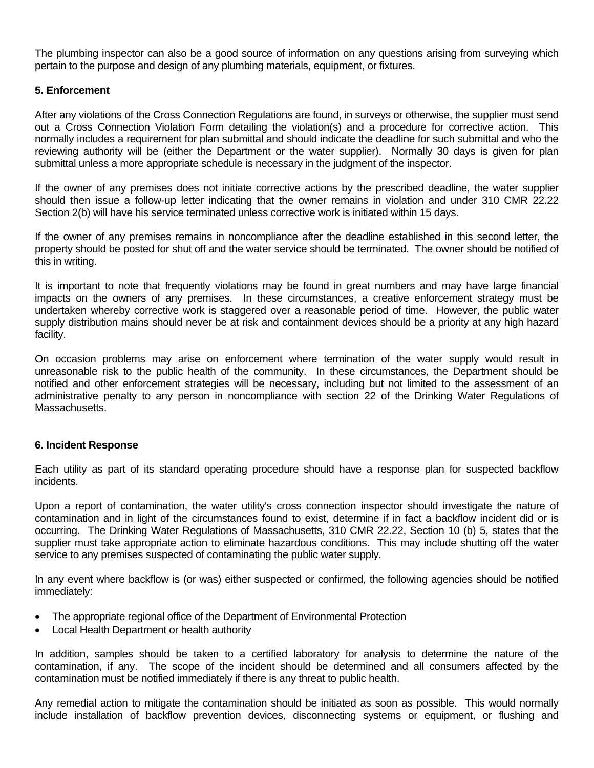The plumbing inspector can also be a good source of information on any questions arising from surveying which pertain to the purpose and design of any plumbing materials, equipment, or fixtures.

#### **5. Enforcement**

After any violations of the Cross Connection Regulations are found, in surveys or otherwise, the supplier must send out a Cross Connection Violation Form detailing the violation(s) and a procedure for corrective action. This normally includes a requirement for plan submittal and should indicate the deadline for such submittal and who the reviewing authority will be (either the Department or the water supplier). Normally 30 days is given for plan submittal unless a more appropriate schedule is necessary in the judgment of the inspector.

If the owner of any premises does not initiate corrective actions by the prescribed deadline, the water supplier should then issue a follow-up letter indicating that the owner remains in violation and under 310 CMR 22.22 Section 2(b) will have his service terminated unless corrective work is initiated within 15 days.

If the owner of any premises remains in noncompliance after the deadline established in this second letter, the property should be posted for shut off and the water service should be terminated. The owner should be notified of this in writing.

It is important to note that frequently violations may be found in great numbers and may have large financial impacts on the owners of any premises. In these circumstances, a creative enforcement strategy must be undertaken whereby corrective work is staggered over a reasonable period of time. However, the public water supply distribution mains should never be at risk and containment devices should be a priority at any high hazard facility.

On occasion problems may arise on enforcement where termination of the water supply would result in unreasonable risk to the public health of the community. In these circumstances, the Department should be notified and other enforcement strategies will be necessary, including but not limited to the assessment of an administrative penalty to any person in noncompliance with section 22 of the Drinking Water Regulations of Massachusetts.

#### **6. Incident Response**

Each utility as part of its standard operating procedure should have a response plan for suspected backflow incidents.

Upon a report of contamination, the water utility's cross connection inspector should investigate the nature of contamination and in light of the circumstances found to exist, determine if in fact a backflow incident did or is occurring. The Drinking Water Regulations of Massachusetts, 310 CMR 22.22, Section 10 (b) 5, states that the supplier must take appropriate action to eliminate hazardous conditions. This may include shutting off the water service to any premises suspected of contaminating the public water supply.

In any event where backflow is (or was) either suspected or confirmed, the following agencies should be notified immediately:

- The appropriate regional office of the Department of Environmental Protection
- Local Health Department or health authority

In addition, samples should be taken to a certified laboratory for analysis to determine the nature of the contamination, if any. The scope of the incident should be determined and all consumers affected by the contamination must be notified immediately if there is any threat to public health.

Any remedial action to mitigate the contamination should be initiated as soon as possible. This would normally include installation of backflow prevention devices, disconnecting systems or equipment, or flushing and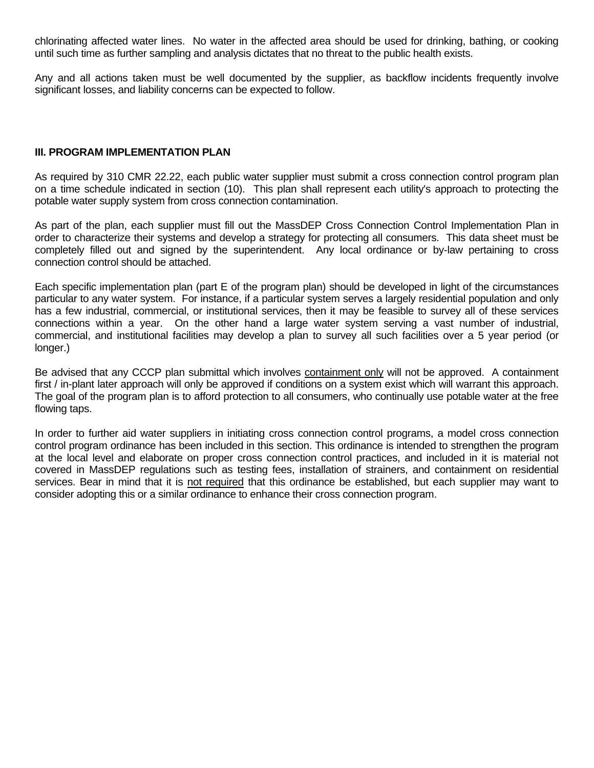chlorinating affected water lines. No water in the affected area should be used for drinking, bathing, or cooking until such time as further sampling and analysis dictates that no threat to the public health exists.

Any and all actions taken must be well documented by the supplier, as backflow incidents frequently involve significant losses, and liability concerns can be expected to follow.

#### **III. PROGRAM IMPLEMENTATION PLAN**

As required by 310 CMR 22.22, each public water supplier must submit a cross connection control program plan on a time schedule indicated in section (10). This plan shall represent each utility's approach to protecting the potable water supply system from cross connection contamination.

As part of the plan, each supplier must fill out the MassDEP Cross Connection Control Implementation Plan in order to characterize their systems and develop a strategy for protecting all consumers. This data sheet must be completely filled out and signed by the superintendent. Any local ordinance or by-law pertaining to cross connection control should be attached.

Each specific implementation plan (part E of the program plan) should be developed in light of the circumstances particular to any water system. For instance, if a particular system serves a largely residential population and only has a few industrial, commercial, or institutional services, then it may be feasible to survey all of these services connections within a year. On the other hand a large water system serving a vast number of industrial, commercial, and institutional facilities may develop a plan to survey all such facilities over a 5 year period (or longer.)

Be advised that any CCCP plan submittal which involves containment only will not be approved. A containment first / in-plant later approach will only be approved if conditions on a system exist which will warrant this approach. The goal of the program plan is to afford protection to all consumers, who continually use potable water at the free flowing taps.

In order to further aid water suppliers in initiating cross connection control programs, a model cross connection control program ordinance has been included in this section. This ordinance is intended to strengthen the program at the local level and elaborate on proper cross connection control practices, and included in it is material not covered in MassDEP regulations such as testing fees, installation of strainers, and containment on residential services. Bear in mind that it is not required that this ordinance be established, but each supplier may want to consider adopting this or a similar ordinance to enhance their cross connection program.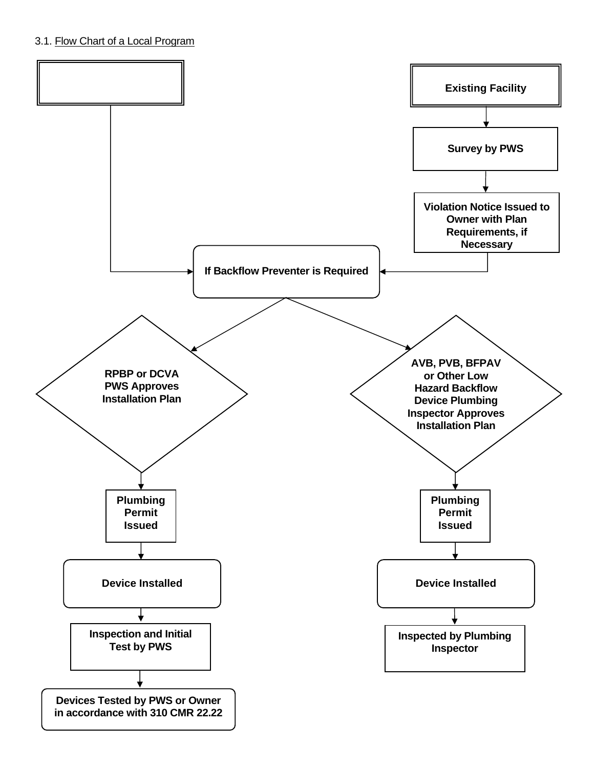# 3.1. Flow Chart of a Local Program

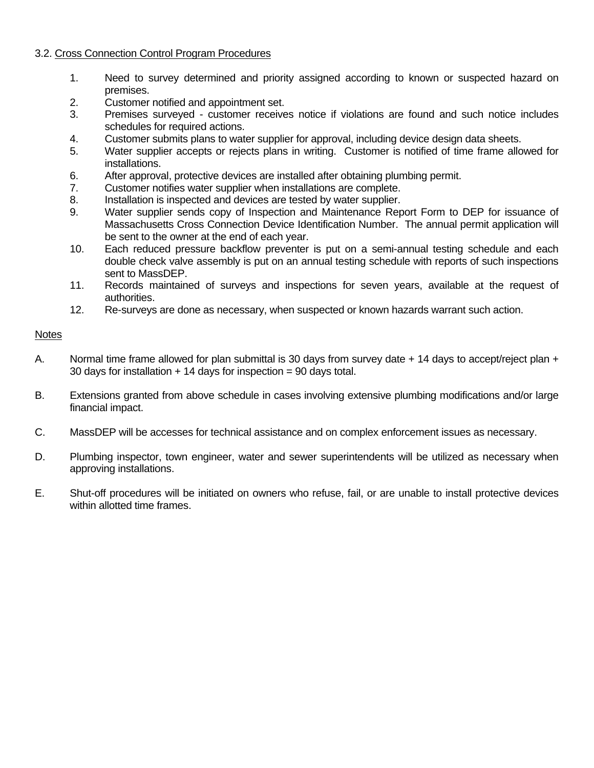#### 3.2. Cross Connection Control Program Procedures

- 1. Need to survey determined and priority assigned according to known or suspected hazard on premises.
- 2. Customer notified and appointment set.
- 3. Premises surveyed customer receives notice if violations are found and such notice includes schedules for required actions.
- 4. Customer submits plans to water supplier for approval, including device design data sheets.
- 5. Water supplier accepts or rejects plans in writing. Customer is notified of time frame allowed for installations.
- 6. After approval, protective devices are installed after obtaining plumbing permit.
- 7. Customer notifies water supplier when installations are complete.
- 8. Installation is inspected and devices are tested by water supplier.
- 9. Water supplier sends copy of Inspection and Maintenance Report Form to DEP for issuance of Massachusetts Cross Connection Device Identification Number. The annual permit application will be sent to the owner at the end of each year.
- 10. Each reduced pressure backflow preventer is put on a semi-annual testing schedule and each double check valve assembly is put on an annual testing schedule with reports of such inspections sent to MassDEP.
- 11. Records maintained of surveys and inspections for seven years, available at the request of authorities.
- 12. Re-surveys are done as necessary, when suspected or known hazards warrant such action.

#### **Notes**

- A. Normal time frame allowed for plan submittal is 30 days from survey date + 14 days to accept/reject plan + 30 days for installation  $+14$  days for inspection = 90 days total.
- B. Extensions granted from above schedule in cases involving extensive plumbing modifications and/or large financial impact.
- C. MassDEP will be accesses for technical assistance and on complex enforcement issues as necessary.
- D. Plumbing inspector, town engineer, water and sewer superintendents will be utilized as necessary when approving installations.
- E. Shut-off procedures will be initiated on owners who refuse, fail, or are unable to install protective devices within allotted time frames.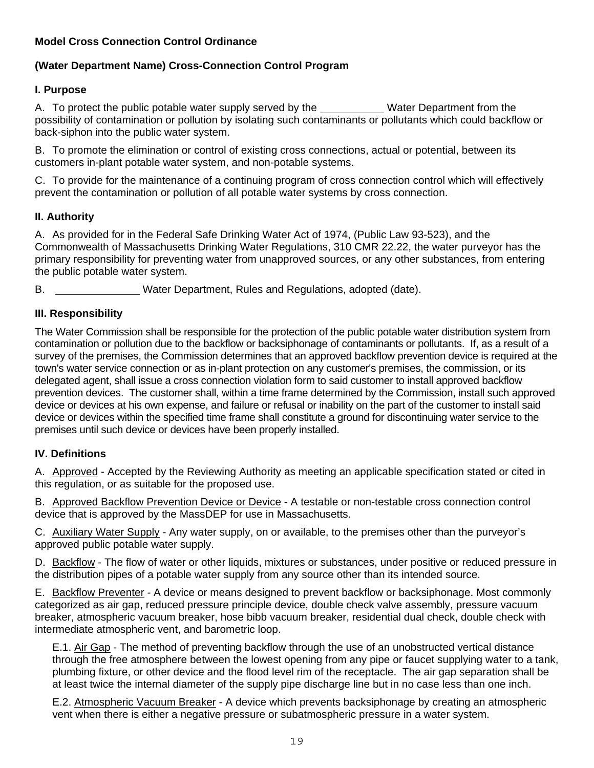# **Model Cross Connection Control Ordinance**

# **(Water Department Name) Cross-Connection Control Program**

## **I. Purpose**

A. To protect the public potable water supply served by the \_\_\_\_\_\_\_\_\_\_\_\_Water Department from the possibility of contamination or pollution by isolating such contaminants or pollutants which could backflow or back-siphon into the public water system.

B. To promote the elimination or control of existing cross connections, actual or potential, between its customers in-plant potable water system, and non-potable systems.

C. To provide for the maintenance of a continuing program of cross connection control which will effectively prevent the contamination or pollution of all potable water systems by cross connection.

#### **II. Authority**

A. As provided for in the Federal Safe Drinking Water Act of 1974, (Public Law 93-523), and the Commonwealth of Massachusetts Drinking Water Regulations, 310 CMR 22.22, the water purveyor has the primary responsibility for preventing water from unapproved sources, or any other substances, from entering the public potable water system.

B. Water Department, Rules and Regulations, adopted (date).

## **III. Responsibility**

The Water Commission shall be responsible for the protection of the public potable water distribution system from contamination or pollution due to the backflow or backsiphonage of contaminants or pollutants. If, as a result of a survey of the premises, the Commission determines that an approved backflow prevention device is required at the town's water service connection or as in-plant protection on any customer's premises, the commission, or its delegated agent, shall issue a cross connection violation form to said customer to install approved backflow prevention devices. The customer shall, within a time frame determined by the Commission, install such approved device or devices at his own expense, and failure or refusal or inability on the part of the customer to install said device or devices within the specified time frame shall constitute a ground for discontinuing water service to the premises until such device or devices have been properly installed.

## **IV. Definitions**

A. Approved - Accepted by the Reviewing Authority as meeting an applicable specification stated or cited in this regulation, or as suitable for the proposed use.

B. Approved Backflow Prevention Device or Device - A testable or non-testable cross connection control device that is approved by the MassDEP for use in Massachusetts.

C. Auxiliary Water Supply - Any water supply, on or available, to the premises other than the purveyor's approved public potable water supply.

D. Backflow - The flow of water or other liquids, mixtures or substances, under positive or reduced pressure in the distribution pipes of a potable water supply from any source other than its intended source.

E. Backflow Preventer - A device or means designed to prevent backflow or backsiphonage. Most commonly categorized as air gap, reduced pressure principle device, double check valve assembly, pressure vacuum breaker, atmospheric vacuum breaker, hose bibb vacuum breaker, residential dual check, double check with intermediate atmospheric vent, and barometric loop.

E.1. Air Gap - The method of preventing backflow through the use of an unobstructed vertical distance through the free atmosphere between the lowest opening from any pipe or faucet supplying water to a tank, plumbing fixture, or other device and the flood level rim of the receptacle. The air gap separation shall be at least twice the internal diameter of the supply pipe discharge line but in no case less than one inch.

E.2. Atmospheric Vacuum Breaker - A device which prevents backsiphonage by creating an atmospheric vent when there is either a negative pressure or subatmospheric pressure in a water system.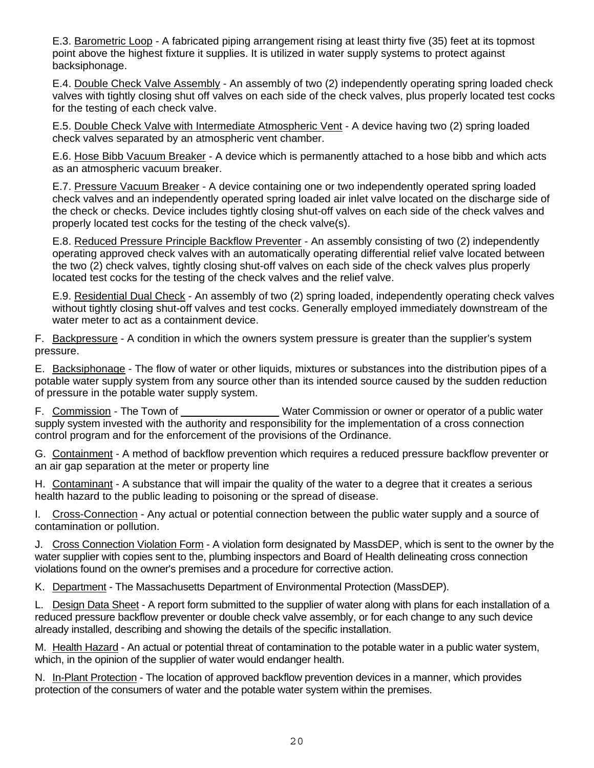E.3. Barometric Loop - A fabricated piping arrangement rising at least thirty five (35) feet at its topmost point above the highest fixture it supplies. It is utilized in water supply systems to protect against backsiphonage.

E.4. Double Check Valve Assembly - An assembly of two (2) independently operating spring loaded check valves with tightly closing shut off valves on each side of the check valves, plus properly located test cocks for the testing of each check valve.

E.5. Double Check Valve with Intermediate Atmospheric Vent - A device having two (2) spring loaded check valves separated by an atmospheric vent chamber.

E.6. Hose Bibb Vacuum Breaker - A device which is permanently attached to a hose bibb and which acts as an atmospheric vacuum breaker.

E.7. Pressure Vacuum Breaker - A device containing one or two independently operated spring loaded check valves and an independently operated spring loaded air inlet valve located on the discharge side of the check or checks. Device includes tightly closing shut-off valves on each side of the check valves and properly located test cocks for the testing of the check valve(s).

E.8. Reduced Pressure Principle Backflow Preventer - An assembly consisting of two (2) independently operating approved check valves with an automatically operating differential relief valve located between the two (2) check valves, tightly closing shut-off valves on each side of the check valves plus properly located test cocks for the testing of the check valves and the relief valve.

E.9. Residential Dual Check - An assembly of two (2) spring loaded, independently operating check valves without tightly closing shut-off valves and test cocks. Generally employed immediately downstream of the water meter to act as a containment device.

F. Backpressure - A condition in which the owners system pressure is greater than the supplier's system pressure.

E. Backsiphonage - The flow of water or other liquids, mixtures or substances into the distribution pipes of a potable water supply system from any source other than its intended source caused by the sudden reduction of pressure in the potable water supply system.

F. Commission - The Town of Water Commission or owner or operator of a public water supply system invested with the authority and responsibility for the implementation of a cross connection control program and for the enforcement of the provisions of the Ordinance.

G. Containment - A method of backflow prevention which requires a reduced pressure backflow preventer or an air gap separation at the meter or property line

H. Contaminant - A substance that will impair the quality of the water to a degree that it creates a serious health hazard to the public leading to poisoning or the spread of disease.

I. Cross-Connection - Any actual or potential connection between the public water supply and a source of contamination or pollution.

J. Cross Connection Violation Form - A violation form designated by MassDEP, which is sent to the owner by the water supplier with copies sent to the, plumbing inspectors and Board of Health delineating cross connection violations found on the owner's premises and a procedure for corrective action.

K. Department - The Massachusetts Department of Environmental Protection (MassDEP).

L. Design Data Sheet - A report form submitted to the supplier of water along with plans for each installation of a reduced pressure backflow preventer or double check valve assembly, or for each change to any such device already installed, describing and showing the details of the specific installation.

M. Health Hazard - An actual or potential threat of contamination to the potable water in a public water system, which, in the opinion of the supplier of water would endanger health.

N. In-Plant Protection - The location of approved backflow prevention devices in a manner, which provides protection of the consumers of water and the potable water system within the premises.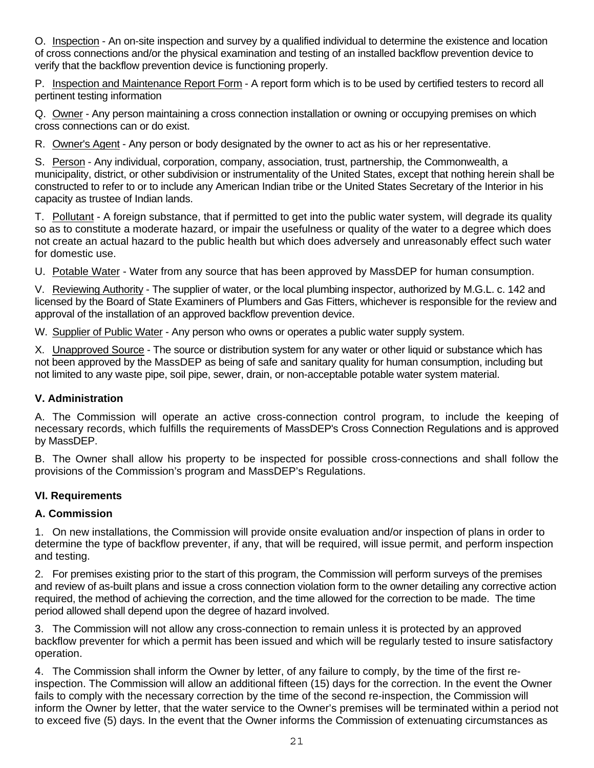O. Inspection - An on-site inspection and survey by a qualified individual to determine the existence and location of cross connections and/or the physical examination and testing of an installed backflow prevention device to verify that the backflow prevention device is functioning properly.

P. Inspection and Maintenance Report Form - A report form which is to be used by certified testers to record all pertinent testing information

Q. Owner - Any person maintaining a cross connection installation or owning or occupying premises on which cross connections can or do exist.

R. Owner's Agent - Any person or body designated by the owner to act as his or her representative.

S. Person - Any individual, corporation, company, association, trust, partnership, the Commonwealth, a municipality, district, or other subdivision or instrumentality of the United States, except that nothing herein shall be constructed to refer to or to include any American Indian tribe or the United States Secretary of the Interior in his capacity as trustee of Indian lands.

T. Pollutant - A foreign substance, that if permitted to get into the public water system, will degrade its quality so as to constitute a moderate hazard, or impair the usefulness or quality of the water to a degree which does not create an actual hazard to the public health but which does adversely and unreasonably effect such water for domestic use.

U. Potable Water - Water from any source that has been approved by MassDEP for human consumption.

V. Reviewing Authority - The supplier of water, or the local plumbing inspector, authorized by M.G.L. c. 142 and licensed by the Board of State Examiners of Plumbers and Gas Fitters, whichever is responsible for the review and approval of the installation of an approved backflow prevention device.

W. Supplier of Public Water - Any person who owns or operates a public water supply system.

X. Unapproved Source - The source or distribution system for any water or other liquid or substance which has not been approved by the MassDEP as being of safe and sanitary quality for human consumption, including but not limited to any waste pipe, soil pipe, sewer, drain, or non-acceptable potable water system material.

## **V. Administration**

A. The Commission will operate an active cross-connection control program, to include the keeping of necessary records, which fulfills the requirements of MassDEP's Cross Connection Regulations and is approved by MassDEP.

B. The Owner shall allow his property to be inspected for possible cross-connections and shall follow the provisions of the Commission's program and MassDEP's Regulations.

## **VI. Requirements**

## **A. Commission**

1. On new installations, the Commission will provide onsite evaluation and/or inspection of plans in order to determine the type of backflow preventer, if any, that will be required, will issue permit, and perform inspection and testing.

2. For premises existing prior to the start of this program, the Commission will perform surveys of the premises and review of as-built plans and issue a cross connection violation form to the owner detailing any corrective action required, the method of achieving the correction, and the time allowed for the correction to be made. The time period allowed shall depend upon the degree of hazard involved.

3. The Commission will not allow any cross-connection to remain unless it is protected by an approved backflow preventer for which a permit has been issued and which will be regularly tested to insure satisfactory operation.

4. The Commission shall inform the Owner by letter, of any failure to comply, by the time of the first reinspection. The Commission will allow an additional fifteen (15) days for the correction. In the event the Owner fails to comply with the necessary correction by the time of the second re-inspection, the Commission will inform the Owner by letter, that the water service to the Owner's premises will be terminated within a period not to exceed five (5) days. In the event that the Owner informs the Commission of extenuating circumstances as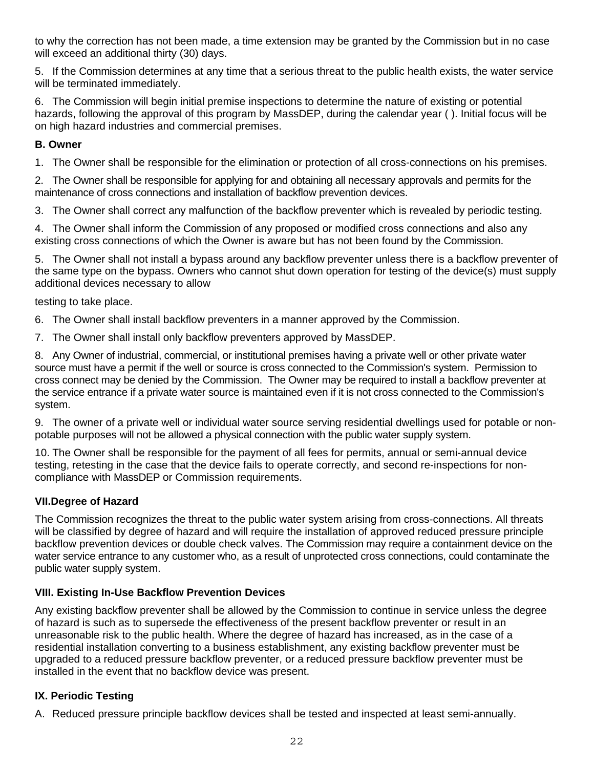to why the correction has not been made, a time extension may be granted by the Commission but in no case will exceed an additional thirty (30) days.

5. If the Commission determines at any time that a serious threat to the public health exists, the water service will be terminated immediately.

6. The Commission will begin initial premise inspections to determine the nature of existing or potential hazards, following the approval of this program by MassDEP, during the calendar year ( ). Initial focus will be on high hazard industries and commercial premises.

# **B. Owner**

1. The Owner shall be responsible for the elimination or protection of all cross-connections on his premises.

2. The Owner shall be responsible for applying for and obtaining all necessary approvals and permits for the maintenance of cross connections and installation of backflow prevention devices.

3. The Owner shall correct any malfunction of the backflow preventer which is revealed by periodic testing.

4. The Owner shall inform the Commission of any proposed or modified cross connections and also any existing cross connections of which the Owner is aware but has not been found by the Commission.

5. The Owner shall not install a bypass around any backflow preventer unless there is a backflow preventer of the same type on the bypass. Owners who cannot shut down operation for testing of the device(s) must supply additional devices necessary to allow

testing to take place.

6. The Owner shall install backflow preventers in a manner approved by the Commission.

7. The Owner shall install only backflow preventers approved by MassDEP.

8. Any Owner of industrial, commercial, or institutional premises having a private well or other private water source must have a permit if the well or source is cross connected to the Commission's system. Permission to cross connect may be denied by the Commission. The Owner may be required to install a backflow preventer at the service entrance if a private water source is maintained even if it is not cross connected to the Commission's system.

9. The owner of a private well or individual water source serving residential dwellings used for potable or nonpotable purposes will not be allowed a physical connection with the public water supply system.

10. The Owner shall be responsible for the payment of all fees for permits, annual or semi-annual device testing, retesting in the case that the device fails to operate correctly, and second re-inspections for noncompliance with MassDEP or Commission requirements.

# **VII.Degree of Hazard**

The Commission recognizes the threat to the public water system arising from cross-connections. All threats will be classified by degree of hazard and will require the installation of approved reduced pressure principle backflow prevention devices or double check valves. The Commission may require a containment device on the water service entrance to any customer who, as a result of unprotected cross connections, could contaminate the public water supply system.

# **VIII. Existing In-Use Backflow Prevention Devices**

Any existing backflow preventer shall be allowed by the Commission to continue in service unless the degree of hazard is such as to supersede the effectiveness of the present backflow preventer or result in an unreasonable risk to the public health. Where the degree of hazard has increased, as in the case of a residential installation converting to a business establishment, any existing backflow preventer must be upgraded to a reduced pressure backflow preventer, or a reduced pressure backflow preventer must be installed in the event that no backflow device was present.

# **IX. Periodic Testing**

A. Reduced pressure principle backflow devices shall be tested and inspected at least semi-annually.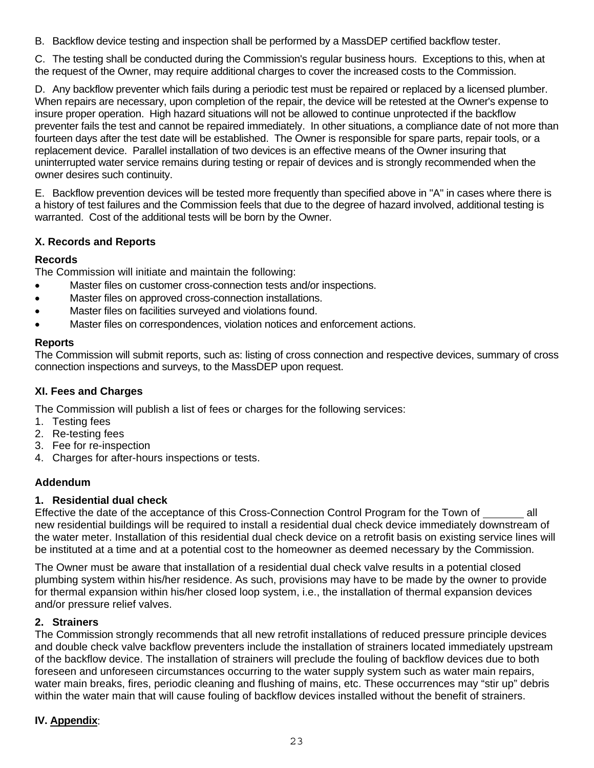B. Backflow device testing and inspection shall be performed by a MassDEP certified backflow tester.

C. The testing shall be conducted during the Commission's regular business hours. Exceptions to this, when at the request of the Owner, may require additional charges to cover the increased costs to the Commission.

D. Any backflow preventer which fails during a periodic test must be repaired or replaced by a licensed plumber. When repairs are necessary, upon completion of the repair, the device will be retested at the Owner's expense to insure proper operation. High hazard situations will not be allowed to continue unprotected if the backflow preventer fails the test and cannot be repaired immediately. In other situations, a compliance date of not more than fourteen days after the test date will be established. The Owner is responsible for spare parts, repair tools, or a replacement device. Parallel installation of two devices is an effective means of the Owner insuring that uninterrupted water service remains during testing or repair of devices and is strongly recommended when the owner desires such continuity.

E. Backflow prevention devices will be tested more frequently than specified above in "A" in cases where there is a history of test failures and the Commission feels that due to the degree of hazard involved, additional testing is warranted. Cost of the additional tests will be born by the Owner.

# **X. Records and Reports**

# **Records**

The Commission will initiate and maintain the following:

- Master files on customer cross-connection tests and/or inspections.
- Master files on approved cross-connection installations.
- Master files on facilities surveyed and violations found.
- Master files on correspondences, violation notices and enforcement actions.

# **Reports**

The Commission will submit reports, such as: listing of cross connection and respective devices, summary of cross connection inspections and surveys, to the MassDEP upon request.

## **XI. Fees and Charges**

The Commission will publish a list of fees or charges for the following services:

- 1. Testing fees
- 2. Re-testing fees
- 3. Fee for re-inspection
- 4. Charges for after-hours inspections or tests.

# **Addendum**

## **1. Residential dual check**

Effective the date of the acceptance of this Cross-Connection Control Program for the Town of all new residential buildings will be required to install a residential dual check device immediately downstream of the water meter. Installation of this residential dual check device on a retrofit basis on existing service lines will be instituted at a time and at a potential cost to the homeowner as deemed necessary by the Commission.

The Owner must be aware that installation of a residential dual check valve results in a potential closed plumbing system within his/her residence. As such, provisions may have to be made by the owner to provide for thermal expansion within his/her closed loop system, i.e., the installation of thermal expansion devices and/or pressure relief valves.

## **2. Strainers**

The Commission strongly recommends that all new retrofit installations of reduced pressure principle devices and double check valve backflow preventers include the installation of strainers located immediately upstream of the backflow device. The installation of strainers will preclude the fouling of backflow devices due to both foreseen and unforeseen circumstances occurring to the water supply system such as water main repairs, water main breaks, fires, periodic cleaning and flushing of mains, etc. These occurrences may "stir up" debris within the water main that will cause fouling of backflow devices installed without the benefit of strainers.

# **IV. Appendix**: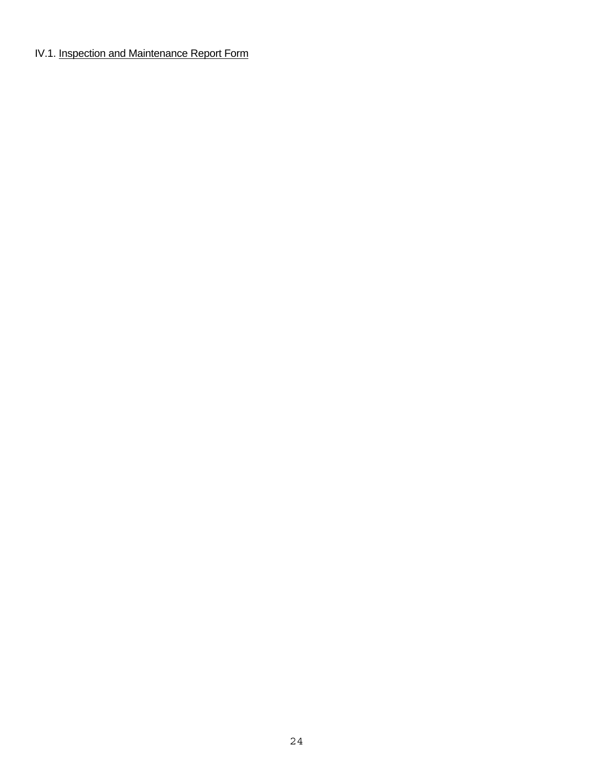# IV.1. Inspection and Maintenance Report Form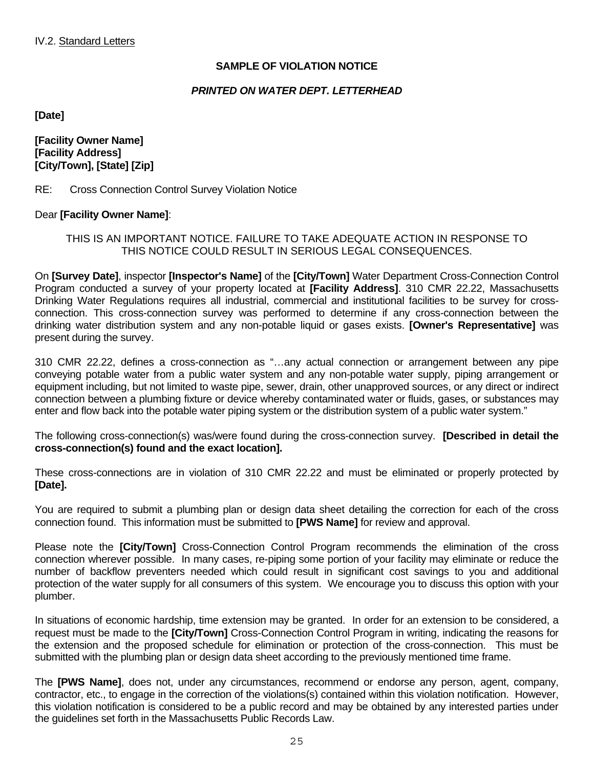# **SAMPLE OF VIOLATION NOTICE**

#### *PRINTED ON WATER DEPT. LETTERHEAD*

**[Date]** 

**[Facility Owner Name] [Facility Address] [City/Town], [State] [Zip]** 

RE: Cross Connection Control Survey Violation Notice

#### Dear **[Facility Owner Name]**:

#### THIS IS AN IMPORTANT NOTICE. FAILURE TO TAKE ADEQUATE ACTION IN RESPONSE TO THIS NOTICE COULD RESULT IN SERIOUS LEGAL CONSEQUENCES.

On **[Survey Date]**, inspector **[Inspector's Name]** of the **[City/Town]** Water Department Cross-Connection Control Program conducted a survey of your property located at **[Facility Address]**. 310 CMR 22.22, Massachusetts Drinking Water Regulations requires all industrial, commercial and institutional facilities to be survey for crossconnection. This cross-connection survey was performed to determine if any cross-connection between the drinking water distribution system and any non-potable liquid or gases exists. **[Owner's Representative]** was present during the survey.

310 CMR 22.22, defines a cross-connection as "…any actual connection or arrangement between any pipe conveying potable water from a public water system and any non-potable water supply, piping arrangement or equipment including, but not limited to waste pipe, sewer, drain, other unapproved sources, or any direct or indirect connection between a plumbing fixture or device whereby contaminated water or fluids, gases, or substances may enter and flow back into the potable water piping system or the distribution system of a public water system."

The following cross-connection(s) was/were found during the cross-connection survey. **[Described in detail the cross-connection(s) found and the exact location].** 

These cross-connections are in violation of 310 CMR 22.22 and must be eliminated or properly protected by **[Date].**

You are required to submit a plumbing plan or design data sheet detailing the correction for each of the cross connection found. This information must be submitted to **[PWS Name]** for review and approval.

Please note the **[City/Town]** Cross-Connection Control Program recommends the elimination of the cross connection wherever possible. In many cases, re-piping some portion of your facility may eliminate or reduce the number of backflow preventers needed which could result in significant cost savings to you and additional protection of the water supply for all consumers of this system. We encourage you to discuss this option with your plumber.

In situations of economic hardship, time extension may be granted. In order for an extension to be considered, a request must be made to the **[City/Town]** Cross-Connection Control Program in writing, indicating the reasons for the extension and the proposed schedule for elimination or protection of the cross-connection. This must be submitted with the plumbing plan or design data sheet according to the previously mentioned time frame.

The **[PWS Name]**, does not, under any circumstances, recommend or endorse any person, agent, company, contractor, etc., to engage in the correction of the violations(s) contained within this violation notification. However, this violation notification is considered to be a public record and may be obtained by any interested parties under the guidelines set forth in the Massachusetts Public Records Law.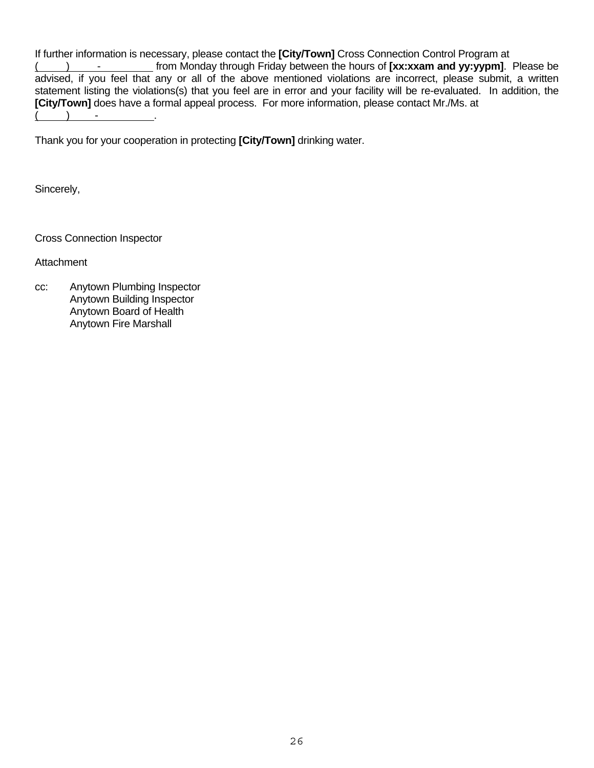If further information is necessary, please contact the **[City/Town]** Cross Connection Control Program at ( ) - from Monday through Friday between the hours of **[xx:xxam and yy:yypm]**. Please be advised, if you feel that any or all of the above mentioned violations are incorrect, please submit, a written statement listing the violations(s) that you feel are in error and your facility will be re-evaluated. In addition, the **[City/Town]** does have a formal appeal process. For more information, please contact Mr./Ms. at  $\angle$  .

Thank you for your cooperation in protecting **[City/Town]** drinking water.

Sincerely,

Cross Connection Inspector

**Attachment** 

cc: Anytown Plumbing Inspector Anytown Building Inspector Anytown Board of Health Anytown Fire Marshall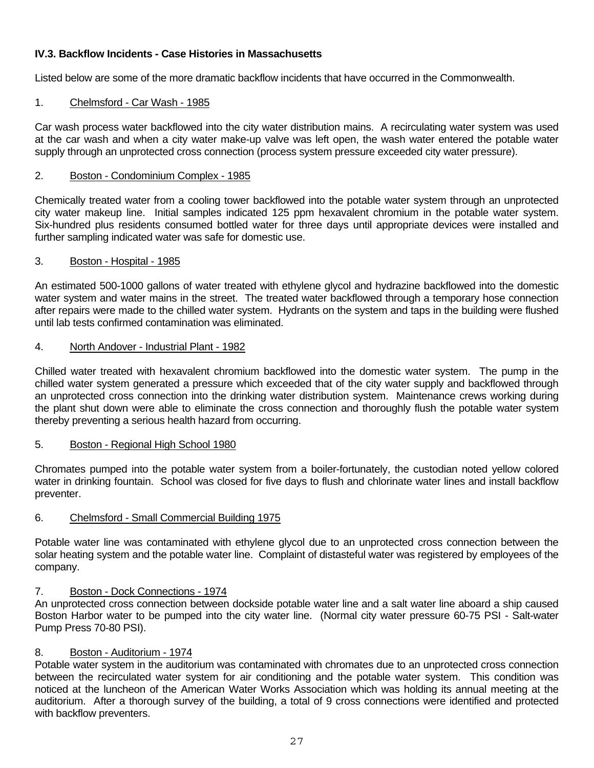# **IV.3. Backflow Incidents - Case Histories in Massachusetts**

Listed below are some of the more dramatic backflow incidents that have occurred in the Commonwealth.

#### 1. Chelmsford - Car Wash - 1985

Car wash process water backflowed into the city water distribution mains. A recirculating water system was used at the car wash and when a city water make-up valve was left open, the wash water entered the potable water supply through an unprotected cross connection (process system pressure exceeded city water pressure).

#### 2. Boston - Condominium Complex - 1985

Chemically treated water from a cooling tower backflowed into the potable water system through an unprotected city water makeup line. Initial samples indicated 125 ppm hexavalent chromium in the potable water system. Six-hundred plus residents consumed bottled water for three days until appropriate devices were installed and further sampling indicated water was safe for domestic use.

#### 3. Boston - Hospital - 1985

An estimated 500-1000 gallons of water treated with ethylene glycol and hydrazine backflowed into the domestic water system and water mains in the street. The treated water backflowed through a temporary hose connection after repairs were made to the chilled water system. Hydrants on the system and taps in the building were flushed until lab tests confirmed contamination was eliminated.

#### 4. North Andover - Industrial Plant - 1982

Chilled water treated with hexavalent chromium backflowed into the domestic water system. The pump in the chilled water system generated a pressure which exceeded that of the city water supply and backflowed through an unprotected cross connection into the drinking water distribution system. Maintenance crews working during the plant shut down were able to eliminate the cross connection and thoroughly flush the potable water system thereby preventing a serious health hazard from occurring.

#### 5. Boston - Regional High School 1980

Chromates pumped into the potable water system from a boiler-fortunately, the custodian noted yellow colored water in drinking fountain. School was closed for five days to flush and chlorinate water lines and install backflow preventer.

#### 6. Chelmsford - Small Commercial Building 1975

Potable water line was contaminated with ethylene glycol due to an unprotected cross connection between the solar heating system and the potable water line. Complaint of distasteful water was registered by employees of the company.

## 7. Boston - Dock Connections - 1974

An unprotected cross connection between dockside potable water line and a salt water line aboard a ship caused Boston Harbor water to be pumped into the city water line. (Normal city water pressure 60-75 PSI - Salt-water Pump Press 70-80 PSI).

#### 8. Boston - Auditorium - 1974

Potable water system in the auditorium was contaminated with chromates due to an unprotected cross connection between the recirculated water system for air conditioning and the potable water system. This condition was noticed at the luncheon of the American Water Works Association which was holding its annual meeting at the auditorium. After a thorough survey of the building, a total of 9 cross connections were identified and protected with backflow preventers.